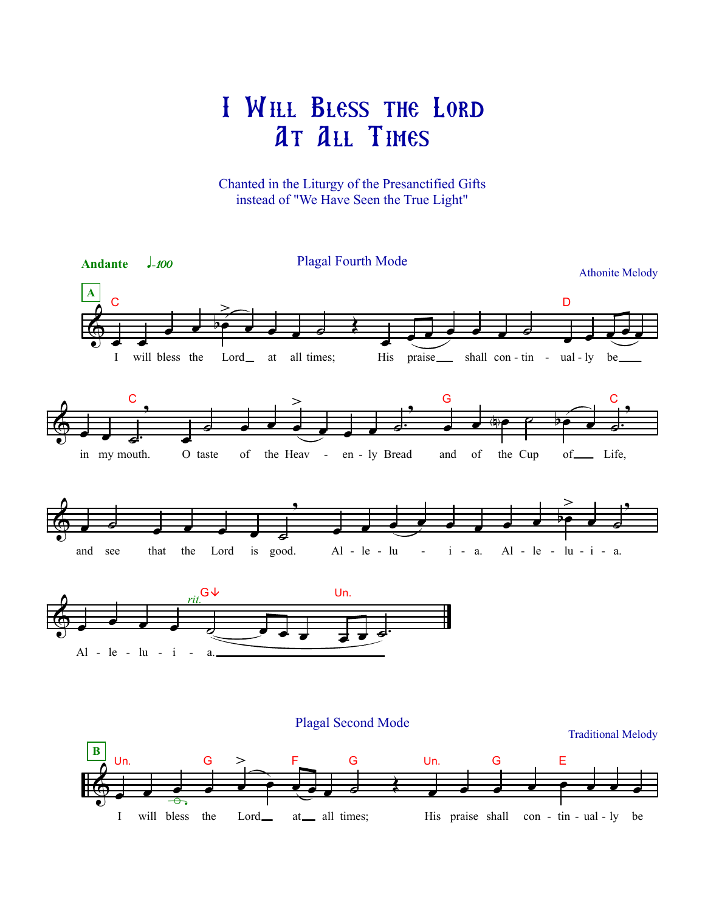## I Will Bless the Lord At All Times

Chanted in the Liturgy of the Presanctified Gifts instead of "We Have Seen the True Light"